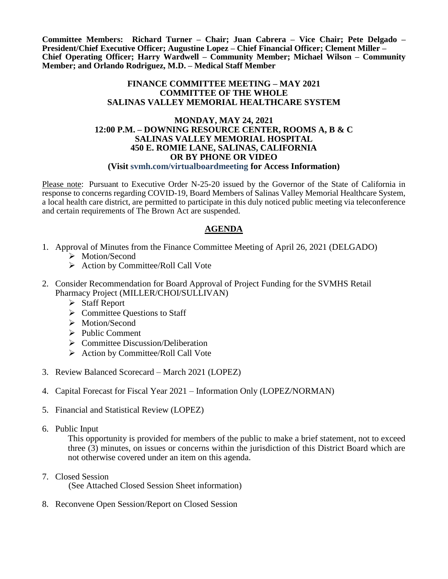**Committee Members: Richard Turner – Chair; Juan Cabrera – Vice Chair; Pete Delgado – President/Chief Executive Officer; Augustine Lopez – Chief Financial Officer; Clement Miller – Chief Operating Officer; Harry Wardwell – Community Member; Michael Wilson – Community Member; and Orlando Rodriguez, M.D. – Medical Staff Member**

### **FINANCE COMMITTEE MEETING – MAY 2021 COMMITTEE OF THE WHOLE SALINAS VALLEY MEMORIAL HEALTHCARE SYSTEM**

#### **MONDAY, MAY 24, 2021 12:00 P.M. – DOWNING RESOURCE CENTER, ROOMS A, B & C SALINAS VALLEY MEMORIAL HOSPITAL 450 E. ROMIE LANE, SALINAS, CALIFORNIA OR BY PHONE OR VIDEO (Visit svmh.com/virtualboardmeeting for Access Information)**

Please note: Pursuant to Executive Order N-25-20 issued by the Governor of the State of California in response to concerns regarding COVID-19, Board Members of Salinas Valley Memorial Healthcare System, a local health care district, are permitted to participate in this duly noticed public meeting via teleconference and certain requirements of The Brown Act are suspended.

## **AGENDA**

- 1. Approval of Minutes from the Finance Committee Meeting of April 26, 2021 (DELGADO)
	- > Motion/Second
	- $\triangleright$  Action by Committee/Roll Call Vote
- 2. Consider Recommendation for Board Approval of Project Funding for the SVMHS Retail Pharmacy Project (MILLER/CHOI/SULLIVAN)
	- $\triangleright$  Staff Report
	- $\triangleright$  Committee Questions to Staff
	- > Motion/Second
	- $\triangleright$  Public Comment
	- $\triangleright$  Committee Discussion/Deliberation
	- $\triangleright$  Action by Committee/Roll Call Vote
- 3. Review Balanced Scorecard March 2021 (LOPEZ)
- 4. Capital Forecast for Fiscal Year 2021 Information Only (LOPEZ/NORMAN)
- 5. Financial and Statistical Review (LOPEZ)
- 6. Public Input

This opportunity is provided for members of the public to make a brief statement, not to exceed three (3) minutes, on issues or concerns within the jurisdiction of this District Board which are not otherwise covered under an item on this agenda.

- 7. Closed Session (See Attached Closed Session Sheet information)
- 8. Reconvene Open Session/Report on Closed Session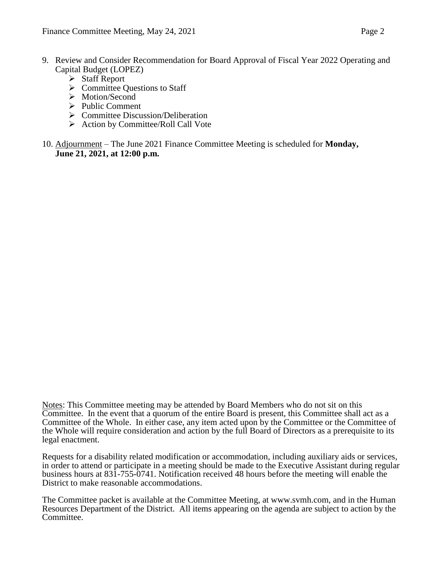- 9. Review and Consider Recommendation for Board Approval of Fiscal Year 2022 Operating and Capital Budget (LOPEZ)
	- Staff Report
	- $\triangleright$  Committee Ouestions to Staff
	- > Motion/Second
	- $\triangleright$  Public Comment
	- $\triangleright$  Committee Discussion/Deliberation
	- $\triangleright$  Action by Committee/Roll Call Vote
- 10. Adjournment The June 2021 Finance Committee Meeting is scheduled for **Monday, June 21, 2021, at 12:00 p.m.**

Notes: This Committee meeting may be attended by Board Members who do not sit on this Committee. In the event that a quorum of the entire Board is present, this Committee shall act as a Committee of the Whole. In either case, any item acted upon by the Committee or the Committee of the Whole will require consideration and action by the full Board of Directors as a prerequisite to its legal enactment.

Requests for a disability related modification or accommodation, including auxiliary aids or services, in order to attend or participate in a meeting should be made to the Executive Assistant during regular business hours at 831-755-0741. Notification received 48 hours before the meeting will enable the District to make reasonable accommodations.

The Committee packet is available at the Committee Meeting, at www.svmh.com, and in the Human Resources Department of the District. All items appearing on the agenda are subject to action by the Committee.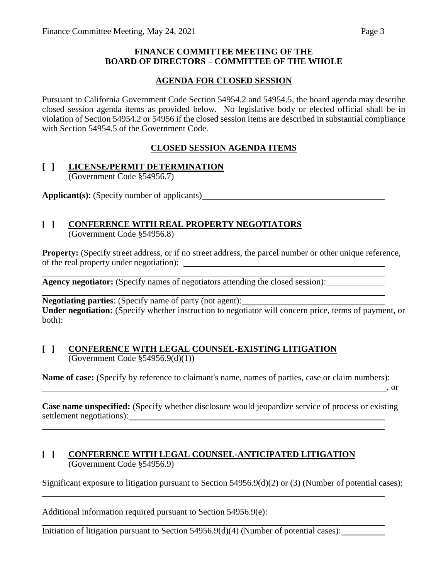## **FINANCE COMMITTEE MEETING OF THE BOARD OF DIRECTORS – COMMITTEE OF THE WHOLE**

## **AGENDA FOR CLOSED SESSION**

Pursuant to California Government Code Section 54954.2 and 54954.5, the board agenda may describe closed session agenda items as provided below. No legislative body or elected official shall be in violation of Section 54954.2 or 54956 if the closed session items are described in substantial compliance with Section 54954.5 of the Government Code.

## **CLOSED SESSION AGENDA ITEMS**

## **[ ] LICENSE/PERMIT DETERMINATION** (Government Code §54956.7)

**Applicant(s)**: (Specify number of applicants)

## **[ ] CONFERENCE WITH REAL PROPERTY NEGOTIATORS** (Government Code §54956.8)

**Property:** (Specify street address, or if no street address, the parcel number or other unique reference, of the real property under negotiation):

**Agency negotiator:** (Specify names of negotiators attending the closed session):

**Negotiating parties**: (Specify name of party (not agent): **Under negotiation:** (Specify whether instruction to negotiator will concern price, terms of payment, or both):

### **[ ] CONFERENCE WITH LEGAL COUNSEL-EXISTING LITIGATION** (Government Code §54956.9(d)(1))

**Name of case:** (Specify by reference to claimant's name, names of parties, case or claim numbers):

 $\overline{\phantom{a}}$ , or

**Case name unspecified:** (Specify whether disclosure would jeopardize service of process or existing settlement negotiations):

## **[ ] CONFERENCE WITH LEGAL COUNSEL-ANTICIPATED LITIGATION** (Government Code §54956.9)

Significant exposure to litigation pursuant to Section 54956.9(d)(2) or (3) (Number of potential cases):

Additional information required pursuant to Section 54956.9(e):

Initiation of litigation pursuant to Section  $54956.9(d)(4)$  (Number of potential cases):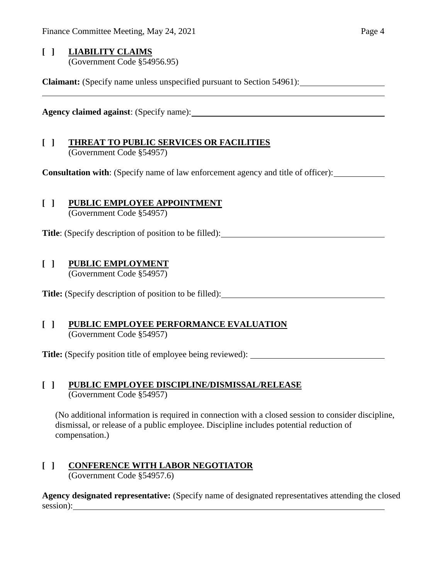## **[ ] LIABILITY CLAIMS** (Government Code §54956.95)

**Claimant:** (Specify name unless unspecified pursuant to Section 54961):

**Agency claimed against**: (Specify name):

# **[ ] THREAT TO PUBLIC SERVICES OR FACILITIES**

(Government Code §54957)

**Consultation with**: (Specify name of law enforcement agency and title of officer):

# **[ ] PUBLIC EMPLOYEE APPOINTMENT**

(Government Code §54957)

**Title**: (Specify description of position to be filled):

# **[ ] PUBLIC EMPLOYMENT**

(Government Code §54957)

**Title:** (Specify description of position to be filled):

## **[ ] PUBLIC EMPLOYEE PERFORMANCE EVALUATION** (Government Code §54957)

**Title:** (Specify position title of employee being reviewed):

## **[ ] PUBLIC EMPLOYEE DISCIPLINE/DISMISSAL/RELEASE** (Government Code §54957)

(No additional information is required in connection with a closed session to consider discipline, dismissal, or release of a public employee. Discipline includes potential reduction of compensation.)

## **[ ] CONFERENCE WITH LABOR NEGOTIATOR** (Government Code §54957.6)

**Agency designated representative:** (Specify name of designated representatives attending the closed session):